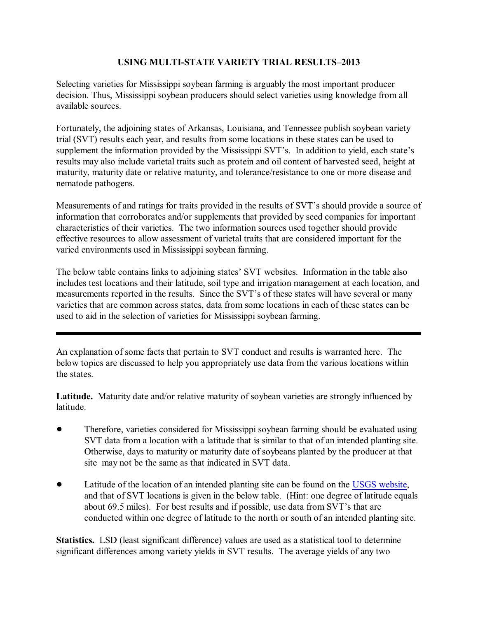## **USING MULTI-STATE VARIETY TRIAL RESULTS–2013**

Selecting varieties for Mississippi soybean farming is arguably the most important producer decision. Thus, Mississippi soybean producers should select varieties using knowledge from all available sources.

Fortunately, the adjoining states of Arkansas, Louisiana, and Tennessee publish soybean variety trial (SVT) results each year, and results from some locations in these states can be used to supplement the information provided by the Mississippi SVT's. In addition to yield, each state's results may also include varietal traits such as protein and oil content of harvested seed, height at maturity, maturity date or relative maturity, and tolerance/resistance to one or more disease and nematode pathogens.

Measurements of and ratings for traits provided in the results of SVT's should provide a source of information that corroborates and/or supplements that provided by seed companies for important characteristics of their varieties. The two information sources used together should provide effective resources to allow assessment of varietal traits that are considered important for the varied environments used in Mississippi soybean farming.

The below table contains links to adjoining states' SVT websites. Information in the table also includes test locations and their latitude, soil type and irrigation management at each location, and measurements reported in the results. Since the SVT's of these states will have several or many varieties that are common across states, data from some locations in each of these states can be used to aid in the selection of varieties for Mississippi soybean farming.

An explanation of some facts that pertain to SVT conduct and results is warranted here. The below topics are discussed to help you appropriately use data from the various locations within the states.

**Latitude.** Maturity date and/or relative maturity of soybean varieties are strongly influenced by latitude.

- Therefore, varieties considered for Mississippi soybean farming should be evaluated using SVT data from a location with a latitude that is similar to that of an intended planting site. Otherwise, days to maturity or maturity date of soybeans planted by the producer at that site may not be the same as that indicated in SVT data.
- Latitude of the location of an intended planting site can be found on the [USGS website](http://geonames.usgs.gov/pls/gnispublic/f?p=154:1:8505990991813916), and that of SVT locations is given in the below table. (Hint: one degree of latitude equals about 69.5 miles). For best results and if possible, use data from SVT's that are conducted within one degree of latitude to the north or south of an intended planting site.

**Statistics.** LSD (least significant difference) values are used as a statistical tool to determine significant differences among variety yields in SVT results. The average yields of any two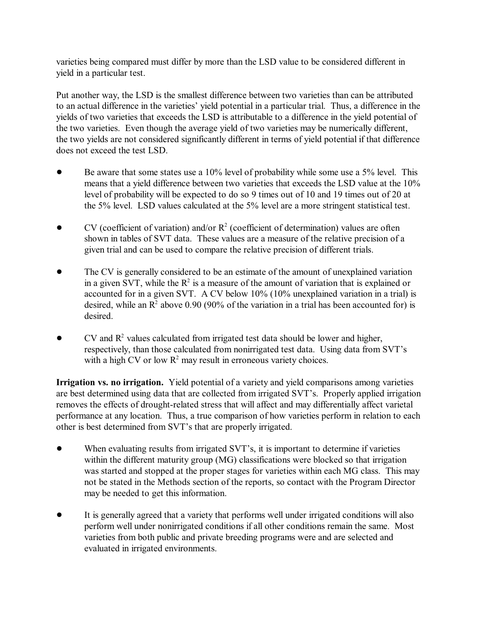varieties being compared must differ by more than the LSD value to be considered different in yield in a particular test.

Put another way, the LSD is the smallest difference between two varieties than can be attributed to an actual difference in the varieties' yield potential in a particular trial. Thus, a difference in the yields of two varieties that exceeds the LSD is attributable to a difference in the yield potential of the two varieties. Even though the average yield of two varieties may be numerically different, the two yields are not considered significantly different in terms of yield potential if that difference does not exceed the test LSD.

- $\bullet$  Be aware that some states use a 10% level of probability while some use a 5% level. This means that a yield difference between two varieties that exceeds the LSD value at the 10% level of probability will be expected to do so 9 times out of 10 and 19 times out of 20 at the 5% level. LSD values calculated at the 5% level are a more stringent statistical test.
- $\bullet$  CV (coefficient of variation) and/or  $\mathbb{R}^2$  (coefficient of determination) values are often shown in tables of SVT data. These values are a measure of the relative precision of a given trial and can be used to compare the relative precision of different trials.
- The CV is generally considered to be an estimate of the amount of unexplained variation in a given SVT, while the  $R^2$  is a measure of the amount of variation that is explained or accounted for in a given SVT. A CV below 10% (10% unexplained variation in a trial) is desired, while an  $\mathbb{R}^2$  above 0.90 (90% of the variation in a trial has been accounted for) is desired.
- $\bullet$  CV and  $\mathbb{R}^2$  values calculated from irrigated test data should be lower and higher, respectively, than those calculated from nonirrigated test data. Using data from SVT's with a high CV or low  $R^2$  may result in erroneous variety choices.

**Irrigation vs. no irrigation.** Yield potential of a variety and yield comparisons among varieties are best determined using data that are collected from irrigated SVT's. Properly applied irrigation removes the effects of drought-related stress that will affect and may differentially affect varietal performance at any location. Thus, a true comparison of how varieties perform in relation to each other is best determined from SVT's that are properly irrigated.

- When evaluating results from irrigated SVT's, it is important to determine if varieties within the different maturity group (MG) classifications were blocked so that irrigation was started and stopped at the proper stages for varieties within each MG class. This may not be stated in the Methods section of the reports, so contact with the Program Director may be needed to get this information.
- It is generally agreed that a variety that performs well under irrigated conditions will also perform well under nonirrigated conditions if all other conditions remain the same. Most varieties from both public and private breeding programs were and are selected and evaluated in irrigated environments.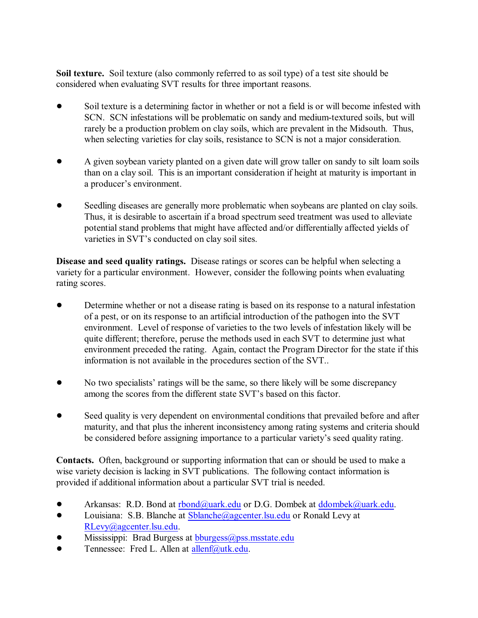**Soil texture.** Soil texture (also commonly referred to as soil type) of a test site should be considered when evaluating SVT results for three important reasons.

- Soil texture is a determining factor in whether or not a field is or will become infested with SCN. SCN infestations will be problematic on sandy and medium-textured soils, but will rarely be a production problem on clay soils, which are prevalent in the Midsouth. Thus, when selecting varieties for clay soils, resistance to SCN is not a major consideration.
- A given soybean variety planted on a given date will grow taller on sandy to silt loam soils than on a clay soil. This is an important consideration if height at maturity is important in a producer's environment.
- Seedling diseases are generally more problematic when soybeans are planted on clay soils. Thus, it is desirable to ascertain if a broad spectrum seed treatment was used to alleviate potential stand problems that might have affected and/or differentially affected yields of varieties in SVT's conducted on clay soil sites.

**Disease and seed quality ratings.** Disease ratings or scores can be helpful when selecting a variety for a particular environment. However, consider the following points when evaluating rating scores.

- Determine whether or not a disease rating is based on its response to a natural infestation of a pest, or on its response to an artificial introduction of the pathogen into the SVT environment. Level of response of varieties to the two levels of infestation likely will be quite different; therefore, peruse the methods used in each SVT to determine just what environment preceded the rating. Again, contact the Program Director for the state if this information is not available in the procedures section of the SVT..
- ! No two specialists' ratings will be the same, so there likely will be some discrepancy among the scores from the different state SVT's based on this factor.
- Seed quality is very dependent on environmental conditions that prevailed before and after maturity, and that plus the inherent inconsistency among rating systems and criteria should be considered before assigning importance to a particular variety's seed quality rating.

**Contacts.** Often, background or supporting information that can or should be used to make a wise variety decision is lacking in SVT publications. The following contact information is provided if additional information about a particular SVT trial is needed.

- Arkansas: R.D. Bond at [rbond@uark.edu](mailto:rbond@uark.edu) or D.G. Dombek at [ddombek@uark.edu](mailto:ddombek@uark.edu).
- Louisiana: S.B. Blanche at [Sblanche@agcenter.lsu.edu](mailto:Sblanche@agcenter.edu) or Ronald Levy at [RLevy@agcenter.lsu.edu](mailto:Rlevy@agcenter.lsu.edu).
- Mississippi: Brad Burgess at [bburgess@pss.msstate.edu](mailto:bburgess@pss.msstate.edu)
- **•** Tennessee: Fred L. Allen at  $\frac{allenf(a)utk.edu.}{a}$